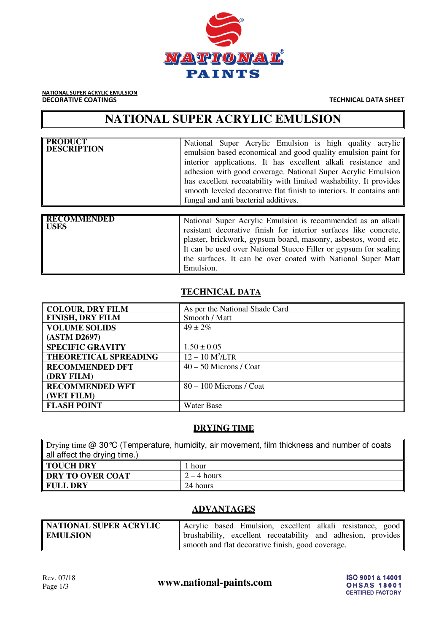

NATIONAL SUPER ACRYLIC EMULSION **DECORATIVE COATINGS** TECHNICAL DATA SHEET

# **NATIONAL SUPER ACRYLIC EMULSION**

| <b>PRODUCT</b><br><b>DESCRIPTION</b> | National Super Acrylic Emulsion is high quality acrylic<br>emulsion based economical and good quality emulsion paint for<br>interior applications. It has excellent alkali resistance and<br>adhesion with good coverage. National Super Acrylic Emulsion<br>has excellent recoatability with limited washability. It provides<br>smooth leveled decorative flat finish to interiors. It contains anti-<br>fungal and anti bacterial additives. |
|--------------------------------------|-------------------------------------------------------------------------------------------------------------------------------------------------------------------------------------------------------------------------------------------------------------------------------------------------------------------------------------------------------------------------------------------------------------------------------------------------|
| <b>RECOMMENDED</b><br><b>USES</b>    | National Super Acrylic Emulsion is recommended as an alkali<br>resistant decorative finish for interior surfaces like concrete,<br>plaster, brickwork, gypsum board, masonry, asbestos, wood etc.<br>It can be used over National Stucco Filler or gypsum for sealing<br>the surfaces. It can be over coated with National Super Matt<br>Emulsion.                                                                                              |

# **TECHNICAL DATA**

| <b>COLOUR, DRY FILM</b>      | As per the National Shade Card |
|------------------------------|--------------------------------|
| <b>FINISH, DRY FILM</b>      | Smooth / Matt                  |
| <b>VOLUME SOLIDS</b>         | $49 \pm 2\%$                   |
| (ASTM D2697)                 |                                |
| <b>SPECIFIC GRAVITY</b>      | $1.50 \pm 0.05$                |
| <b>THEORETICAL SPREADING</b> | $12 - 10 M^2/LTR$              |
| <b>RECOMMENDED DFT</b>       | $40 - 50$ Microns / Coat       |
| (DRY FILM)                   |                                |
| <b>RECOMMENDED WFT</b>       | $80 - 100$ Microns / Coat      |
| (WET FILM)                   |                                |
| <b>FLASH POINT</b>           | Water Base                     |

#### **DRYING TIME**

| Drying time $@$ 30 °C (Temperature, humidity, air movement, film thickness and number of coats |               |  |
|------------------------------------------------------------------------------------------------|---------------|--|
| all affect the drying time.)                                                                   |               |  |
| <b>TOUCH DRY</b>                                                                               | 1 hour        |  |
| DRY TO OVER COAT                                                                               | $2 - 4$ hours |  |
| <b>FULL DRY</b><br>24 hours                                                                    |               |  |

# **ADVANTAGES**

| NATIONAL SUPER ACRYLIC | Acrylic based Emulsion, excellent alkali resistance, good    |
|------------------------|--------------------------------------------------------------|
| <b>EMULSION</b>        | brushability, excellent recoatability and adhesion, provides |
|                        | smooth and flat decorative finish, good coverage.            |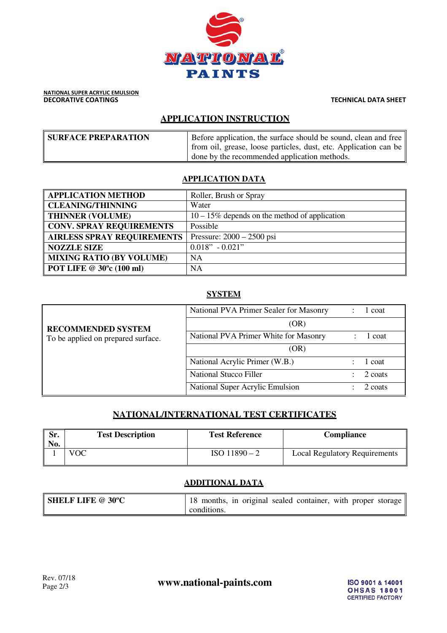

# **APPLICATION INSTRUCTION**

| <b>SURFACE PREPARATION</b> | Before application, the surface should be sound, clean and free $\parallel$ |
|----------------------------|-----------------------------------------------------------------------------|
|                            | from oil, grease, loose particles, dust, etc. Application can be            |
|                            | done by the recommended application methods.                                |

#### **APPLICATION DATA**

| <b>APPLICATION METHOD</b>             | Roller, Brush or Spray                           |
|---------------------------------------|--------------------------------------------------|
| <b>CLEANING/THINNING</b>              | Water                                            |
| <b>THINNER (VOLUME)</b>               | $10 - 15\%$ depends on the method of application |
| <b>CONV. SPRAY REQUIREMENTS</b>       | Possible                                         |
| <b>AIRLESS SPRAY REQUIREMENTS</b>     | Pressure: $2000 - 2500$ psi                      |
| <b>NOZZLE SIZE</b>                    | $0.018" - 0.021"$                                |
| <b>MIXING RATIO (BY VOLUME)</b>       | <b>NA</b>                                        |
| POT LIFE $\circledcirc$ 30°c (100 ml) | <b>NA</b>                                        |

## **SYSTEM**

| <b>RECOMMENDED SYSTEM</b><br>To be applied on prepared surface. | National PVA Primer Sealer for Masonry | l coat  |
|-----------------------------------------------------------------|----------------------------------------|---------|
|                                                                 | (OR)                                   |         |
|                                                                 | National PVA Primer White for Masonry  | l coat  |
|                                                                 | (OR)                                   |         |
|                                                                 | National Acrylic Primer (W.B.)         | 1 coat  |
|                                                                 | <b>National Stucco Filler</b>          | 2 coats |
|                                                                 | National Super Acrylic Emulsion        | 2 coats |

## **NATIONAL/INTERNATIONAL TEST CERTIFICATES**

| Sr.<br>No. | <b>Test Description</b> | <b>Test Reference</b> | <b>Compliance</b>                    |
|------------|-------------------------|-----------------------|--------------------------------------|
|            | VOC                     | $ISO$ 11890 – 2       | <b>Local Regulatory Requirements</b> |

## **ADDITIONAL DATA**

| <b>SHELF LIFE @ 30°C</b> | 18 months, in original sealed container, with proper storage |
|--------------------------|--------------------------------------------------------------|
|                          | conditions.                                                  |